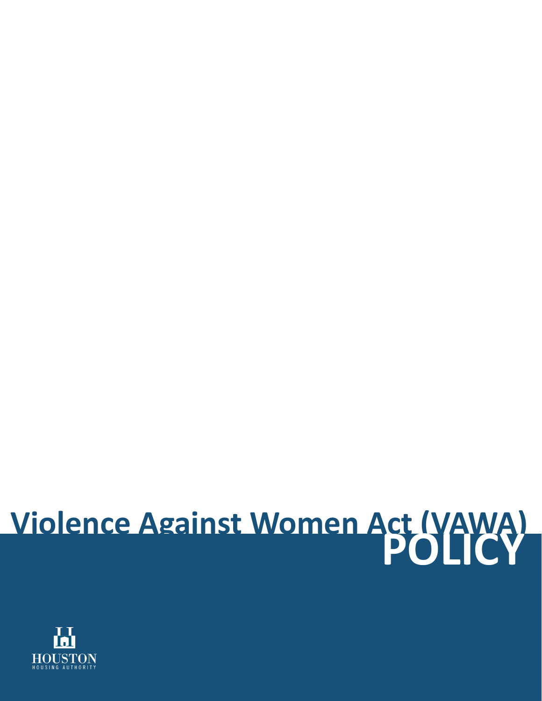# **Violence Against Women Act (VAWA) POLICY**

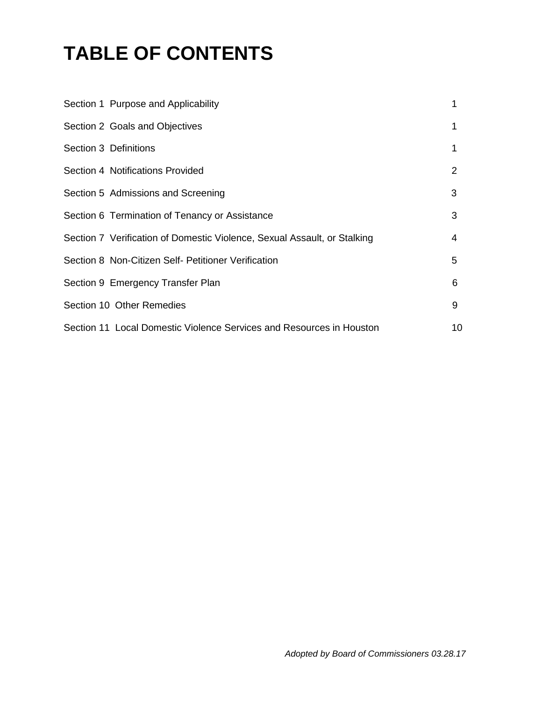# **TABLE OF CONTENTS**

| Section 1 Purpose and Applicability                                      |    |
|--------------------------------------------------------------------------|----|
| Section 2 Goals and Objectives                                           | 1  |
| Section 3 Definitions                                                    | 1  |
| Section 4 Notifications Provided                                         | 2  |
| Section 5 Admissions and Screening                                       | 3  |
| Section 6 Termination of Tenancy or Assistance                           | 3  |
| Section 7 Verification of Domestic Violence, Sexual Assault, or Stalking | 4  |
| Section 8 Non-Citizen Self- Petitioner Verification                      | 5  |
| Section 9 Emergency Transfer Plan                                        | 6  |
| Section 10 Other Remedies                                                | 9  |
| Section 11 Local Domestic Violence Services and Resources in Houston     | 10 |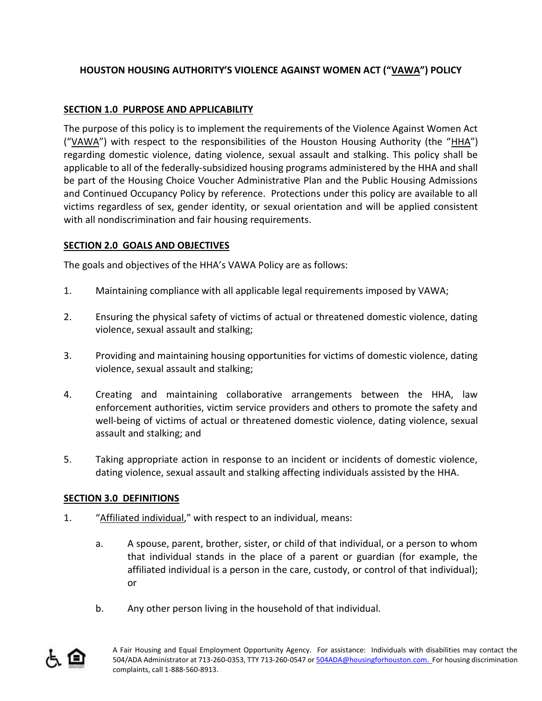# **HOUSTON HOUSING AUTHORITY'S VIOLENCE AGAINST WOMEN ACT ("VAWA") POLICY**

## **SECTION 1.0 PURPOSE AND APPLICABILITY**

The purpose of this policy is to implement the requirements of the Violence Against Women Act ("VAWA") with respect to the responsibilities of the Houston Housing Authority (the "HHA") regarding domestic violence, dating violence, sexual assault and stalking. This policy shall be applicable to all of the federally-subsidized housing programs administered by the HHA and shall be part of the Housing Choice Voucher Administrative Plan and the Public Housing Admissions and Continued Occupancy Policy by reference. Protections under this policy are available to all victims regardless of sex, gender identity, or sexual orientation and will be applied consistent with all nondiscrimination and fair housing requirements.

### **SECTION 2.0 GOALS AND OBJECTIVES**

The goals and objectives of the HHA's VAWA Policy are as follows:

- 1. Maintaining compliance with all applicable legal requirements imposed by VAWA;
- 2. Ensuring the physical safety of victims of actual or threatened domestic violence, dating violence, sexual assault and stalking;
- 3. Providing and maintaining housing opportunities for victims of domestic violence, dating violence, sexual assault and stalking;
- 4. Creating and maintaining collaborative arrangements between the HHA, law enforcement authorities, victim service providers and others to promote the safety and well-being of victims of actual or threatened domestic violence, dating violence, sexual assault and stalking; and
- 5. Taking appropriate action in response to an incident or incidents of domestic violence, dating violence, sexual assault and stalking affecting individuals assisted by the HHA.

#### **SECTION 3.0 DEFINITIONS**

- 1. "Affiliated individual," with respect to an individual, means:
	- a. A spouse, parent, brother, sister, or child of that individual, or a person to whom that individual stands in the place of a parent or guardian (for example, the affiliated individual is a person in the care, custody, or control of that individual); or
	- b. Any other person living in the household of that individual.

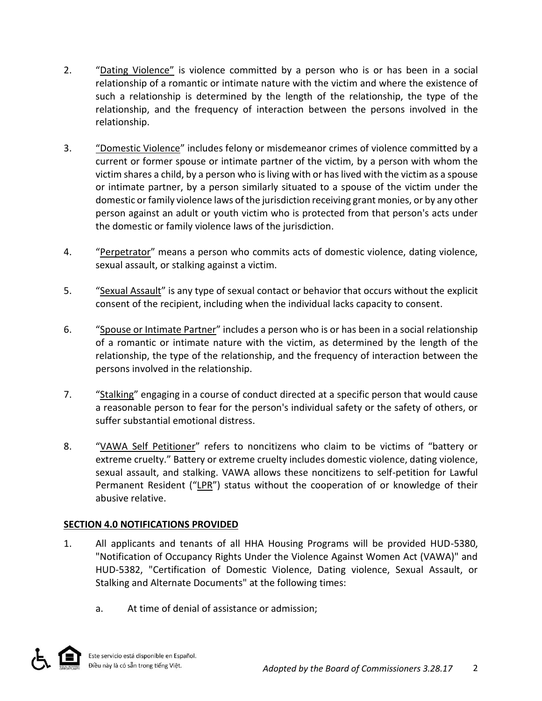- 2. "Dating Violence" is violence committed by a person who is or has been in a social relationship of a romantic or intimate nature with the victim and where the existence of such a relationship is determined by the length of the relationship, the type of the relationship, and the frequency of interaction between the persons involved in the relationship.
- 3. "Domestic Violence" includes felony or misdemeanor crimes of violence committed by a current or former spouse or intimate partner of the victim, by a person with whom the victim shares a child, by a person who is living with or has lived with the victim as a spouse or intimate partner, by a person similarly situated to a spouse of the victim under the domestic or family violence laws of the jurisdiction receiving grant monies, or by any other person against an adult or youth victim who is protected from that person's acts under the domestic or family violence laws of the jurisdiction.
- 4. "Perpetrator" means a person who commits acts of domestic violence, dating violence, sexual assault, or stalking against a victim.
- 5. "Sexual Assault" is any type of sexual contact or behavior that occurs without the explicit consent of the recipient, including when the individual lacks capacity to consent.
- 6. "Spouse or Intimate Partner" includes a person who is or has been in a social relationship of a romantic or intimate nature with the victim, as determined by the length of the relationship, the type of the relationship, and the frequency of interaction between the persons involved in the relationship.
- 7. "Stalking" engaging in a course of conduct directed at a specific person that would cause a reasonable person to fear for the person's individual safety or the safety of others, or suffer substantial emotional distress.
- 8. "VAWA Self Petitioner" refers to noncitizens who claim to be victims of "battery or extreme cruelty." Battery or extreme cruelty includes domestic violence, dating violence, sexual assault, and stalking. VAWA allows these noncitizens to self-petition for Lawful Permanent Resident ("LPR") status without the cooperation of or knowledge of their abusive relative.

#### **SECTION 4.0 NOTIFICATIONS PROVIDED**

- 1. All applicants and tenants of all HHA Housing Programs will be provided HUD-5380, "Notification of Occupancy Rights Under the Violence Against Women Act (VAWA)" and HUD-5382, "Certification of Domestic Violence, Dating violence, Sexual Assault, or Stalking and Alternate Documents" at the following times:
	- a. At time of denial of assistance or admission;

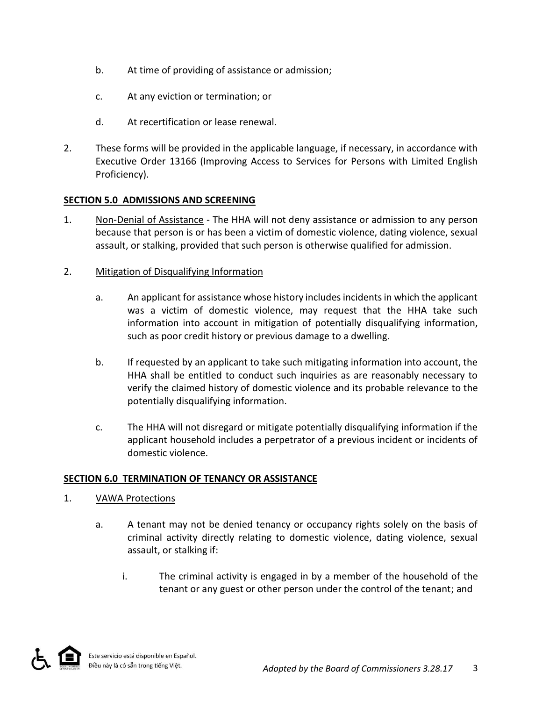- b. At time of providing of assistance or admission;
- c. At any eviction or termination; or
- d. At recertification or lease renewal.
- 2. These forms will be provided in the applicable language, if necessary, in accordance with Executive Order 13166 (Improving Access to Services for Persons with Limited English Proficiency).

#### **SECTION 5.0 ADMISSIONS AND SCREENING**

- 1. Non-Denial of Assistance The HHA will not deny assistance or admission to any person because that person is or has been a victim of domestic violence, dating violence, sexual assault, or stalking, provided that such person is otherwise qualified for admission.
- 2. Mitigation of Disqualifying Information
	- a. An applicant for assistance whose history includes incidents in which the applicant was a victim of domestic violence, may request that the HHA take such information into account in mitigation of potentially disqualifying information, such as poor credit history or previous damage to a dwelling.
	- b. If requested by an applicant to take such mitigating information into account, the HHA shall be entitled to conduct such inquiries as are reasonably necessary to verify the claimed history of domestic violence and its probable relevance to the potentially disqualifying information.
	- c. The HHA will not disregard or mitigate potentially disqualifying information if the applicant household includes a perpetrator of a previous incident or incidents of domestic violence.

#### **SECTION 6.0 TERMINATION OF TENANCY OR ASSISTANCE**

- 1. VAWA Protections
	- a. A tenant may not be denied tenancy or occupancy rights solely on the basis of criminal activity directly relating to domestic violence, dating violence, sexual assault, or stalking if:
		- i. The criminal activity is engaged in by a member of the household of the tenant or any guest or other person under the control of the tenant; and

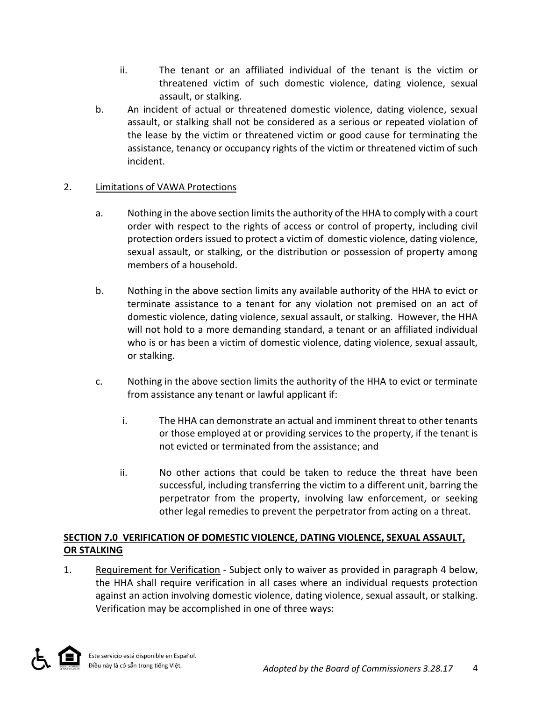- ii. The tenant or an affiliated individual of the tenant is the victim or threatened victim of such domestic violence, dating violence, sexual assault, or stalking.
- b. An incident of actual or threatened domestic violence, dating violence, sexual assault, or stalking shall not be considered as a serious or repeated violation of the lease by the victim or threatened victim or good cause for terminating the assistance, tenancy or occupancy rights of the victim or threatened victim of such incident.

# 2. Limitations of VAWA Protections

- a. Nothing in the above section limits the authority of the HHA to comply with a court order with respect to the rights of access or control of property, including civil protection orders issued to protect a victim of domestic violence, dating violence, sexual assault, or stalking, or the distribution or possession of property among members of a household.
- b. Nothing in the above section limits any available authority of the HHA to evict or terminate assistance to a tenant for any violation not premised on an act of domestic violence, dating violence, sexual assault, or stalking. However, the HHA will not hold to a more demanding standard, a tenant or an affiliated individual who is or has been a victim of domestic violence, dating violence, sexual assault, or stalking.
- c. Nothing in the above section limits the authority of the HHA to evict or terminate from assistance any tenant or lawful applicant if:
	- i. The HHA can demonstrate an actual and imminent threat to other tenants or those employed at or providing services to the property, if the tenant is not evicted or terminated from the assistance; and
	- ii. No other actions that could be taken to reduce the threat have been successful, including transferring the victim to a different unit, barring the perpetrator from the property, involving law enforcement, or seeking other legal remedies to prevent the perpetrator from acting on a threat.

# **SECTION 7.0 VERIFICATION OF DOMESTIC VIOLENCE, DATING VIOLENCE, SEXUAL ASSAULT, OR STALKING**

1. Requirement for Verification - Subject only to waiver as provided in paragraph 4 below, the HHA shall require verification in all cases where an individual requests protection against an action involving domestic violence, dating violence, sexual assault, or stalking. Verification may be accomplished in one of three ways:

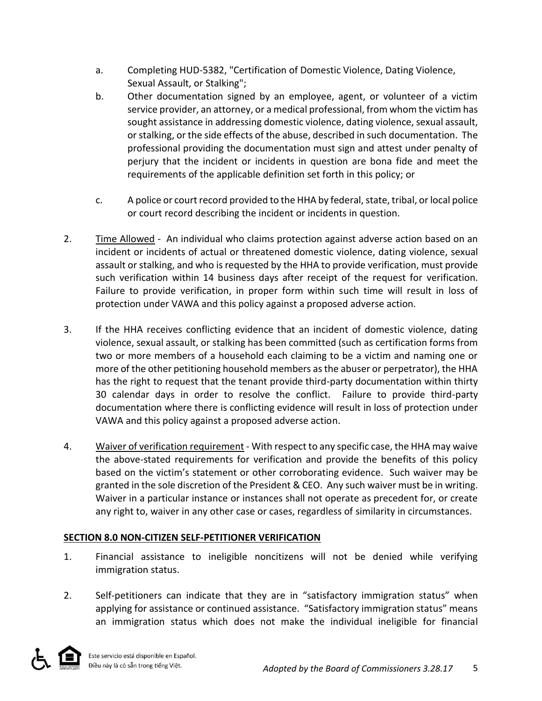- a. Completing HUD-5382, "Certification of Domestic Violence, Dating Violence, Sexual Assault, or Stalking";
- b. Other documentation signed by an employee, agent, or volunteer of a victim service provider, an attorney, or a medical professional, from whom the victim has sought assistance in addressing domestic violence, dating violence, sexual assault, or stalking, or the side effects of the abuse, described in such documentation. The professional providing the documentation must sign and attest under penalty of perjury that the incident or incidents in question are bona fide and meet the requirements of the applicable definition set forth in this policy; or
- c. A police or court record provided to the HHA by federal,state, tribal, or local police or court record describing the incident or incidents in question.
- 2. Time Allowed An individual who claims protection against adverse action based on an incident or incidents of actual or threatened domestic violence, dating violence, sexual assault or stalking, and who is requested by the HHA to provide verification, must provide such verification within 14 business days after receipt of the request for verification. Failure to provide verification, in proper form within such time will result in loss of protection under VAWA and this policy against a proposed adverse action.
- 3. If the HHA receives conflicting evidence that an incident of domestic violence, dating violence, sexual assault, or stalking has been committed (such as certification forms from two or more members of a household each claiming to be a victim and naming one or more of the other petitioning household members as the abuser or perpetrator), the HHA has the right to request that the tenant provide third-party documentation within thirty 30 calendar days in order to resolve the conflict. Failure to provide third-party documentation where there is conflicting evidence will result in loss of protection under VAWA and this policy against a proposed adverse action.
- 4. Waiver of verification requirement With respect to any specific case, the HHA may waive the above-stated requirements for verification and provide the benefits of this policy based on the victim's statement or other corroborating evidence. Such waiver may be granted in the sole discretion of the President & CEO. Any such waiver must be in writing. Waiver in a particular instance or instances shall not operate as precedent for, or create any right to, waiver in any other case or cases, regardless of similarity in circumstances.

# **SECTION 8.0 NON-CITIZEN SELF-PETITIONER VERIFICATION**

- 1. Financial assistance to ineligible noncitizens will not be denied while verifying immigration status.
- 2. Self-petitioners can indicate that they are in "satisfactory immigration status" when applying for assistance or continued assistance. "Satisfactory immigration status" means an immigration status which does not make the individual ineligible for financial

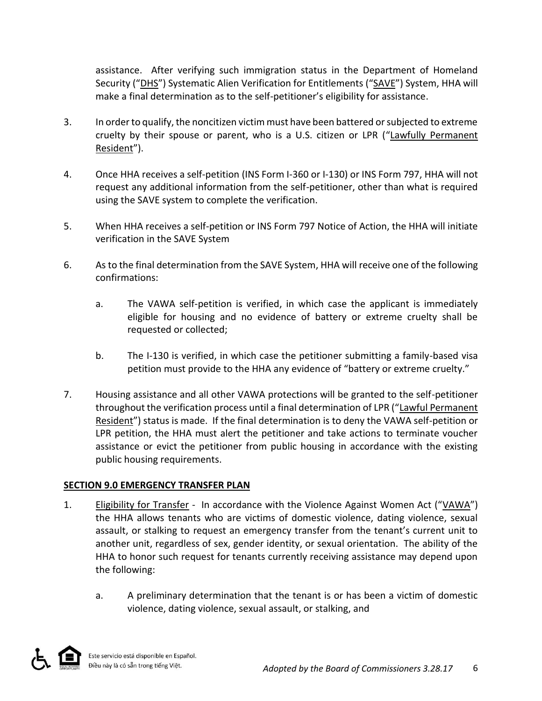assistance. After verifying such immigration status in the Department of Homeland Security ("DHS") Systematic Alien Verification for Entitlements ("SAVE") System, HHA will make a final determination as to the self-petitioner's eligibility for assistance.

- 3. In order to qualify, the noncitizen victim must have been battered or subjected to extreme cruelty by their spouse or parent, who is a U.S. citizen or LPR ("Lawfully Permanent Resident").
- 4. Once HHA receives a self-petition (INS Form I-360 or I-130) or INS Form 797, HHA will not request any additional information from the self-petitioner, other than what is required using the SAVE system to complete the verification.
- 5. When HHA receives a self-petition or INS Form 797 Notice of Action, the HHA will initiate verification in the SAVE System
- 6. As to the final determination from the SAVE System, HHA will receive one of the following confirmations:
	- a. The VAWA self-petition is verified, in which case the applicant is immediately eligible for housing and no evidence of battery or extreme cruelty shall be requested or collected;
	- b. The I-130 is verified, in which case the petitioner submitting a family-based visa petition must provide to the HHA any evidence of "battery or extreme cruelty."
- 7. Housing assistance and all other VAWA protections will be granted to the self-petitioner throughout the verification process until a final determination of LPR ("Lawful Permanent Resident") status is made. If the final determination is to deny the VAWA self-petition or LPR petition, the HHA must alert the petitioner and take actions to terminate voucher assistance or evict the petitioner from public housing in accordance with the existing public housing requirements.

# **SECTION 9.0 EMERGENCY TRANSFER PLAN**

- 1. Eligibility for Transfer In accordance with the Violence Against Women Act ("VAWA") the HHA allows tenants who are victims of domestic violence, dating violence, sexual assault, or stalking to request an emergency transfer from the tenant's current unit to another unit, regardless of sex, gender identity, or sexual orientation. The ability of the HHA to honor such request for tenants currently receiving assistance may depend upon the following:
	- a. A preliminary determination that the tenant is or has been a victim of domestic violence, dating violence, sexual assault, or stalking, and

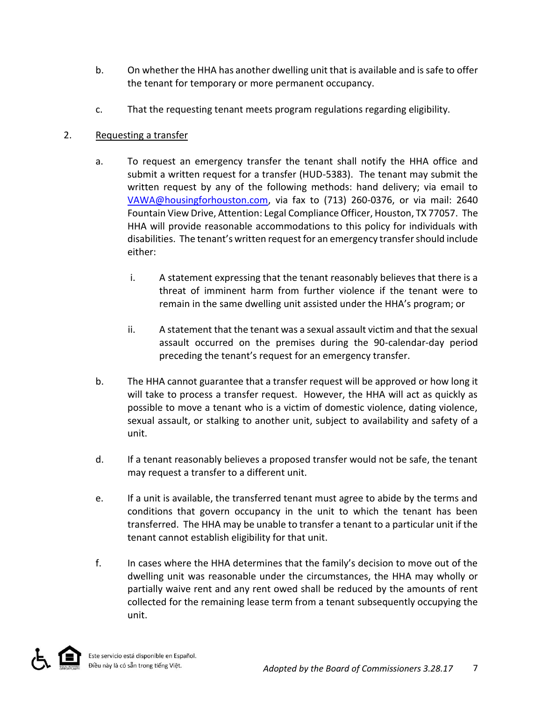- b. On whether the HHA has another dwelling unit that is available and is safe to offer the tenant for temporary or more permanent occupancy.
- c. That the requesting tenant meets program regulations regarding eligibility.

### 2. Requesting a transfer

- a. To request an emergency transfer the tenant shall notify the HHA office and submit a written request for a transfer (HUD-5383). The tenant may submit the written request by any of the following methods: hand delivery; via email to [VAWA@housingforhouston.com,](mailto:VAWA@housingforhouston.com) via fax to (713) 260-0376, or via mail: 2640 Fountain View Drive, Attention: Legal Compliance Officer, Houston, TX 77057. The HHA will provide reasonable accommodations to this policy for individuals with disabilities. The tenant's written request for an emergency transfer should include either:
	- i. A statement expressing that the tenant reasonably believes that there is a threat of imminent harm from further violence if the tenant were to remain in the same dwelling unit assisted under the HHA's program; or
	- ii. A statement that the tenant was a sexual assault victim and that the sexual assault occurred on the premises during the 90-calendar-day period preceding the tenant's request for an emergency transfer.
- b. The HHA cannot guarantee that a transfer request will be approved or how long it will take to process a transfer request. However, the HHA will act as quickly as possible to move a tenant who is a victim of domestic violence, dating violence, sexual assault, or stalking to another unit, subject to availability and safety of a unit.
- d. If a tenant reasonably believes a proposed transfer would not be safe, the tenant may request a transfer to a different unit.
- e. If a unit is available, the transferred tenant must agree to abide by the terms and conditions that govern occupancy in the unit to which the tenant has been transferred. The HHA may be unable to transfer a tenant to a particular unit if the tenant cannot establish eligibility for that unit.
- f. In cases where the HHA determines that the family's decision to move out of the dwelling unit was reasonable under the circumstances, the HHA may wholly or partially waive rent and any rent owed shall be reduced by the amounts of rent collected for the remaining lease term from a tenant subsequently occupying the unit.

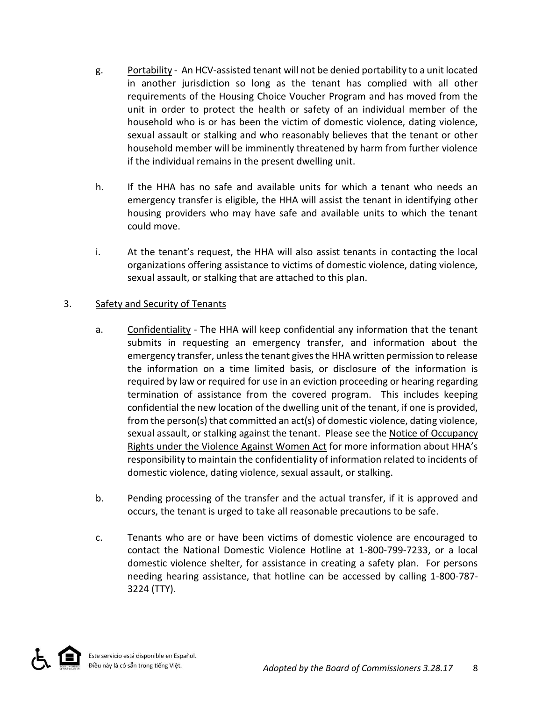- g. Portability An HCV-assisted tenant will not be denied portability to a unit located in another jurisdiction so long as the tenant has complied with all other requirements of the Housing Choice Voucher Program and has moved from the unit in order to protect the health or safety of an individual member of the household who is or has been the victim of domestic violence, dating violence, sexual assault or stalking and who reasonably believes that the tenant or other household member will be imminently threatened by harm from further violence if the individual remains in the present dwelling unit.
- h. If the HHA has no safe and available units for which a tenant who needs an emergency transfer is eligible, the HHA will assist the tenant in identifying other housing providers who may have safe and available units to which the tenant could move.
- i. At the tenant's request, the HHA will also assist tenants in contacting the local organizations offering assistance to victims of domestic violence, dating violence, sexual assault, or stalking that are attached to this plan.

### 3. Safety and Security of Tenants

- a. Confidentiality The HHA will keep confidential any information that the tenant submits in requesting an emergency transfer, and information about the emergency transfer, unless the tenant gives the HHA written permission to release the information on a time limited basis, or disclosure of the information is required by law or required for use in an eviction proceeding or hearing regarding termination of assistance from the covered program. This includes keeping confidential the new location of the dwelling unit of the tenant, if one is provided, from the person(s) that committed an act(s) of domestic violence, dating violence, sexual assault, or stalking against the tenant. Please see the Notice of Occupancy Rights under the Violence Against Women Act for more information about HHA's responsibility to maintain the confidentiality of information related to incidents of domestic violence, dating violence, sexual assault, or stalking.
- b. Pending processing of the transfer and the actual transfer, if it is approved and occurs, the tenant is urged to take all reasonable precautions to be safe.
- c. Tenants who are or have been victims of domestic violence are encouraged to contact the National Domestic Violence Hotline at 1-800-799-7233, or a local domestic violence shelter, for assistance in creating a safety plan. For persons needing hearing assistance, that hotline can be accessed by calling 1-800-787- 3224 (TTY).

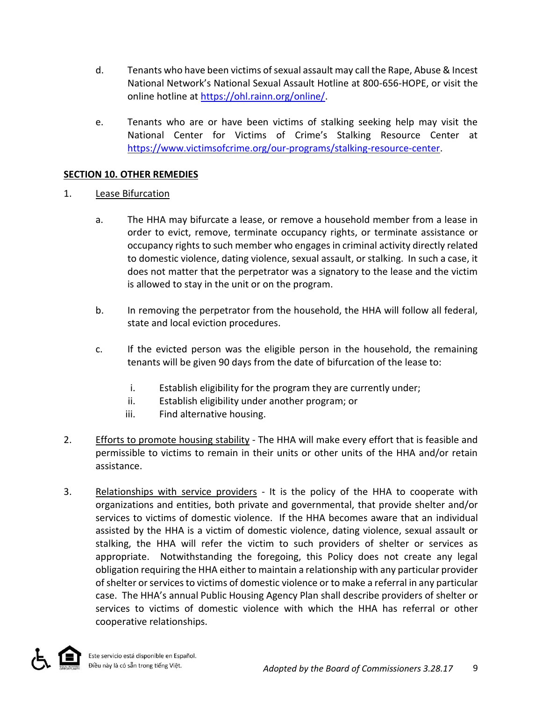- d. Tenants who have been victims of sexual assault may call the Rape, Abuse & Incest National Network's National Sexual Assault Hotline at 800-656-HOPE, or visit the online hotline at [https://ohl.rainn.org/online/.](https://ohl.rainn.org/online/)
- e. Tenants who are or have been victims of stalking seeking help may visit the National Center for Victims of Crime's Stalking Resource Center at [https://www.victimsofcrime.org/our-programs/stalking-resource-center.](https://www.victimsofcrime.org/our-programs/stalking-resource-center)

#### **SECTION 10. OTHER REMEDIES**

#### 1. Lease Bifurcation

- a. The HHA may bifurcate a lease, or remove a household member from a lease in order to evict, remove, terminate occupancy rights, or terminate assistance or occupancy rights to such member who engages in criminal activity directly related to domestic violence, dating violence, sexual assault, or stalking. In such a case, it does not matter that the perpetrator was a signatory to the lease and the victim is allowed to stay in the unit or on the program.
- b. In removing the perpetrator from the household, the HHA will follow all federal, state and local eviction procedures.
- c. If the evicted person was the eligible person in the household, the remaining tenants will be given 90 days from the date of bifurcation of the lease to:
	- i. Establish eligibility for the program they are currently under;
	- ii. Establish eligibility under another program; or
	- iii. Find alternative housing.
- 2. Efforts to promote housing stability The HHA will make every effort that is feasible and permissible to victims to remain in their units or other units of the HHA and/or retain assistance.
- 3. Relationships with service providers It is the policy of the HHA to cooperate with organizations and entities, both private and governmental, that provide shelter and/or services to victims of domestic violence. If the HHA becomes aware that an individual assisted by the HHA is a victim of domestic violence, dating violence, sexual assault or stalking, the HHA will refer the victim to such providers of shelter or services as appropriate. Notwithstanding the foregoing, this Policy does not create any legal obligation requiring the HHA either to maintain a relationship with any particular provider of shelter or services to victims of domestic violence or to make a referral in any particular case. The HHA's annual Public Housing Agency Plan shall describe providers of shelter or services to victims of domestic violence with which the HHA has referral or other cooperative relationships.

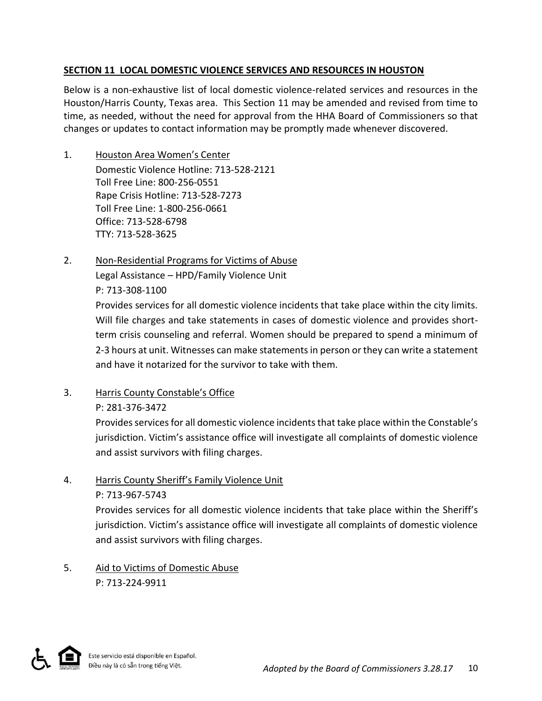### **SECTION 11 LOCAL DOMESTIC VIOLENCE SERVICES AND RESOURCES IN HOUSTON**

Below is a non-exhaustive list of local domestic violence-related services and resources in the Houston/Harris County, Texas area. This Section 11 may be amended and revised from time to time, as needed, without the need for approval from the HHA Board of Commissioners so that changes or updates to contact information may be promptly made whenever discovered.

- 1. Houston Area Women's Center Domestic Violence Hotline: 713-528-2121 Toll Free Line: 800-256-0551 Rape Crisis Hotline: 713-528-7273 Toll Free Line: 1-800-256-0661 Office: 713-528-6798 TTY: 713-528-3625
- 2. Non-Residential Programs for Victims of Abuse Legal Assistance – HPD/Family Violence Unit P: 713-308-1100

Provides services for all domestic violence incidents that take place within the city limits. Will file charges and take statements in cases of domestic violence and provides shortterm crisis counseling and referral. Women should be prepared to spend a minimum of 2-3 hours at unit. Witnesses can make statements in person or they can write a statement and have it notarized for the survivor to take with them.

- 3. Harris County Constable's Office
	- P: 281-376-3472

Provides services for all domestic violence incidents that take place within the Constable's jurisdiction. Victim's assistance office will investigate all complaints of domestic violence and assist survivors with filing charges.

# 4. Harris County Sheriff's Family Violence Unit

#### P: 713-967-5743

Provides services for all domestic violence incidents that take place within the Sheriff's jurisdiction. Victim's assistance office will investigate all complaints of domestic violence and assist survivors with filing charges.

5. Aid to Victims of Domestic Abuse P: 713-224-9911